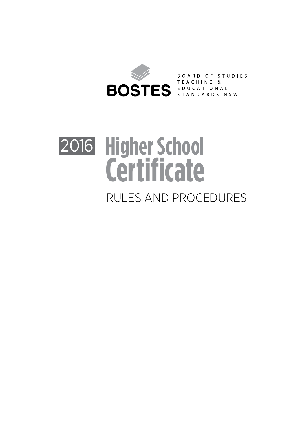

# **Higher School Certificate** 2016 RULES AND PROCEDURES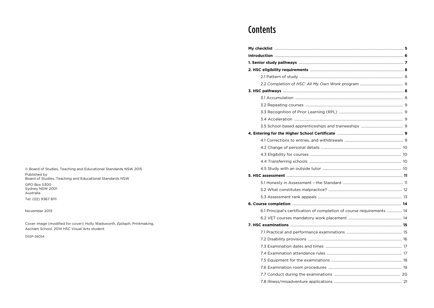© Board of Studies, Teaching and Educational Standards NSW 2015 Published by<br>Board of Studies, Teaching and Educational Standards NSW

GPO Box 5300 Sydney NSW 2001<br>Australia

Tel: (02) 9367 8111

November 2015

Cover image (modified for cover): Holly Wadsworth, Epitaph, Printmaking, Ascham School, 2014 HSC Visual Arts student

DSSP-26054

## **Contents**

| 6.1 Principal's certification of completion of course requirements  14 |  |
|------------------------------------------------------------------------|--|
|                                                                        |  |
|                                                                        |  |
|                                                                        |  |
|                                                                        |  |
|                                                                        |  |
|                                                                        |  |
|                                                                        |  |
|                                                                        |  |
|                                                                        |  |
|                                                                        |  |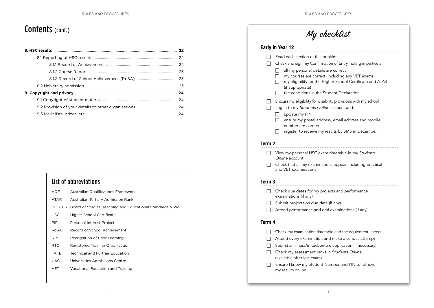## Contents (cont.)

## List of abbreviations

| AQF         | <b>Australian Qualifications Framework</b>                      |
|-------------|-----------------------------------------------------------------|
| <b>ATAR</b> | Australian Tertiary Admission Rank                              |
|             | BOSTES Board of Studies, Teaching and Educational Standards NSW |
| <b>HSC</b>  | <b>Higher School Certificate</b>                                |
| <b>PIP</b>  | Personal Interest Project                                       |
| RoSA        | Record of School Achievement                                    |
| <b>RPL</b>  | Recognition of Prior Learning                                   |
| RTO.        | Registered Training Organisation                                |
| <b>TAFE</b> | <b>Technical and Further Education</b>                          |
| <b>UAC</b>  | Universities Admissions Centre                                  |
| VET         | Vocational Education and Training                               |
|             |                                                                 |

|                   | <b>Early in Year 12</b>                                                                                                                                                                                              |
|-------------------|----------------------------------------------------------------------------------------------------------------------------------------------------------------------------------------------------------------------|
|                   | Read each section of this booklet                                                                                                                                                                                    |
|                   | Check and sign my Confirmation of Entry, noting in particular:                                                                                                                                                       |
|                   | all my personal details are correct<br>my courses are correct, including any VET exams<br>my eligibility for the Higher School Certificate and ATAR<br>(if appropriate)<br>the conditions in the Student Declaration |
|                   | Discuss my eligibility for disability provisions with my school                                                                                                                                                      |
|                   | Log in to my Students Online account and:                                                                                                                                                                            |
|                   | update my PIN                                                                                                                                                                                                        |
|                   | ensure my postal address, email address and mobile<br>number are correct                                                                                                                                             |
|                   | register to receive my results by SMS in December                                                                                                                                                                    |
|                   |                                                                                                                                                                                                                      |
| Term <sub>2</sub> |                                                                                                                                                                                                                      |
|                   | View my personal HSC exam timetable in my Students<br>Online account                                                                                                                                                 |
|                   | Check that all my examinations appear, including practical<br>and VET examinations                                                                                                                                   |
| Term 3            |                                                                                                                                                                                                                      |
|                   | Check due dates for my projects and performance<br>examinations (if any)                                                                                                                                             |
|                   | Submit projects on due date (if any)                                                                                                                                                                                 |
|                   | Attend performance and oral examinations (if any)                                                                                                                                                                    |
| Term 4            |                                                                                                                                                                                                                      |
|                   | Check my examination timetable and the equipment I need                                                                                                                                                              |
|                   | Attend every examination and make a serious attempt                                                                                                                                                                  |
|                   | Submit an illness/misadventure application (if necessary)                                                                                                                                                            |
|                   | Check my assessment ranks in Students Online<br>(available after last exam)                                                                                                                                          |
|                   | Ensure I know my Student Number and PIN to retrieve                                                                                                                                                                  |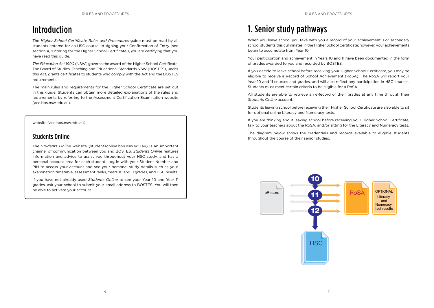## Introduction

The *Higher School Certificate Rules and Procedures* guide must be read by all students entered for an HSC course. In signing your Confirmation of Entry (see section 4, 'Entering for the Higher School Certificate'), you are certifying that you have read this guide.

*The Education Act 1990* (NSW) governs the award of the Higher School Certificate. The Board of Studies, Teaching and Educational Standards NSW (BOSTES), under this Act, grants certificates to students who comply with the Act and the BOSTES requirements.

The main rules and requirements for the Higher School Certificate are set out in this guide. Students can obtain more detailed explanations of the rules and requirements by referring to the Assessment Certification Examination website (ace.bos.nsw.edu.au).

#### website (ace.bos.nsw.edu.au).

#### Students Online

The *Students Online* website (studentsonline.bos.nsw.edu.au) is an important channel of communication between you and BOSTES. *Students Online* features information and advice to assist you throughout your HSC study, and has a personal account area for each student. Log in with your Student Number and PIN to access your account and see your personal study details such as your examination timetable, assessment ranks, Years 10 and 11 grades, and HSC results.

If you have not already used *Students Online* to see your Year 10 and Year 11 grades, ask your school to submit your email address to BOSTES. You will then be able to activate your account.

## 1. Senior study pathways

When you leave school you take with you a record of your achievement. For secondary school students this culminates in the Higher School Certificate; however, your achievements begin to accumulate from Year 10.

Your participation and achievement in Years 10 and 11 have been documented in the form of grades awarded to you and recorded by BOSTES.

If you decide to leave school before receiving your Higher School Certificate, you may be eligible to receive a Record of School Achievement (RoSA). The RoSA will report your Year 10 and 11 courses and grades, and will also reflect any participation in HSC courses. Students must meet certain criteria to be eligible for a RoSA.

All students are able to retrieve an eRecord of their grades at any time through their *Students Online* account.

Students leaving school before receiving their Higher School Certificate are also able to sit for optional online Literacy and Numeracy tests.

If you are thinking about leaving school before receiving your Higher School Certificate, talk to your teachers about the RoSA, and/or sitting for the Literacy and Numeracy tests.

The diagram below shows the credentials and records available to eligible students throughout the course of their senior studies.

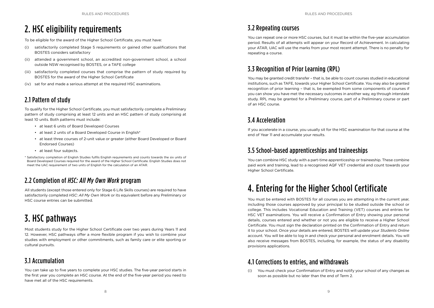## 2. HSC eligibility requirements

To be eligible for the award of the Higher School Certificate, you must have:

- (i) satisfactorily completed Stage 5 requirements or gained other qualifications that BOSTES considers satisfactory
- (ii) attended a government school, an accredited non-government school, a school outside NSW recognised by BOSTES, or a TAFE college
- (iii) satisfactorily completed courses that comprise the pattern of study required by BOSTES for the award of the Higher School Certificate
- (iv) sat for and made a serious attempt at the required HSC examinations.

### 2.1 Pattern of study

To qualify for the Higher School Certificate, you must satisfactorily complete a Preliminary pattern of study comprising at least 12 units and an HSC pattern of study comprising at least 10 units. Both patterns must include:

- at least 6 units of Board Developed Courses
- at least 2 units of a Board Developed Course in English\*
- at least three courses of 2-unit value or greater (either Board Developed or Board Endorsed Courses)
- at least four subjects.

\* Satisfactory completion of English Studies fulfils English requirements and counts towards the six units of Board Developed Courses required for the award of the Higher School Certificate. English Studies does not meet the UAC requirement of two units of English for the calculation of an ATAR.

## 2.2 Completion of *HSC: All My Own Work* program

All students (except those entered only for Stage 6 Life Skills courses) are required to have satisfactorily completed *HSC: All My Own Work* or its equivalent before any Preliminary or HSC course entries can be submitted.

## 3. HSC pathways

Most students study for the Higher School Certificate over two years during Years 11 and 12. However, HSC pathways offer a more flexible program if you wish to combine your studies with employment or other commitments, such as family care or elite sporting or cultural pursuits.

## 3.1 Accumulation

You can take up to five years to complete your HSC studies. The five-year period starts in the first year you complete an HSC course. At the end of the five-year period you need to have met all of the HSC requirements.

## 3.2 Repeating courses

You can repeat one or more HSC courses, but it must be within the five-year accumulation period. Results of all attempts will appear on your Record of Achievement. In calculating your ATAR, UAC will use the marks from your most recent attempt. There is no penalty for repeating a course.

### 3.3 Recognition of Prior Learning (RPL)

You may be granted credit transfer – that is, be able to count courses studied in educational institutions, such as TAFE, towards your Higher School Certificate. You may also be granted recognition of prior learning – that is, be exempted from some components of courses if you can show you have met the necessary outcomes in another way, eg through interstate study. RPL may be granted for a Preliminary course, part of a Preliminary course or part of an HSC course.

### 3.4 Acceleration

If you accelerate in a course, you usually sit for the HSC examination for that course at the end of Year 11 and accumulate your results.

### 3.5 School-based apprenticeships and traineeships

You can combine HSC study with a part-time apprenticeship or traineeship. These combine paid work and training, lead to a recognised AQF VET credential and count towards your Higher School Certificate.

## 4. Entering for the Higher School Certificate

You must be entered with BOSTES for all courses you are attempting in the current year, including those courses approved by your principal to be studied outside the school or college. This includes Vocational Education and Training (VET) courses and entries for HSC VET examinations. You will receive a Confirmation of Entry showing your personal details, courses entered and whether or not you are eligible to receive a Higher School Certificate. You must sign the declaration printed on the Confirmation of Entry and return it to your school. Once your details are entered, BOSTES will update your *Students Online*  account. You will be able to log in and check your personal and enrolment details. You will also receive messages from BOSTES, including, for example, the status of any disability provisions applications.

### 4.1 Corrections to entries, and withdrawals

(i) You must check your Confirmation of Entry and notify your school of any changes as soon as possible but no later than the end of Term 2.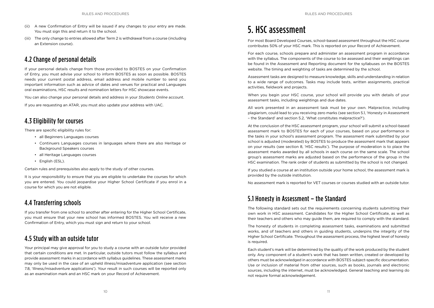- (ii) A new Confirmation of Entry will be issued if any changes to your entry are made. You must sign this and return it to the school.
- (iii) The only change to entries allowed after Term 2 is withdrawal from a course (including an Extension course).

### 4.2 Change of personal details

If your personal details change from those provided to BOSTES on your Confirmation of Entry, you must advise your school to inform BOSTES as soon as possible. BOSTES needs your current postal address, email address and mobile number to send you important information such as advice of dates and venues for practical and Languages oral examinations, HSC results and nomination letters for HSC showcase events.

You can also change your personal details and address in your *Students Online* account.

If you are requesting an ATAR, you must also update your address with UAC.

#### 4.3 Eligibility for courses

There are specific eligibility rules for:

- all Beginners Languages courses
- Continuers Languages courses in languages where there are also Heritage or Background Speakers courses
- all Heritage Languages courses
- English (ESL).

Certain rules and prerequisites also apply to the study of other courses.

It is your responsibility to ensure that you are eligible to undertake the courses for which you are entered. You could jeopardise your Higher School Certificate if you enrol in a course for which you are not eligible.

#### 4.4 Transferring schools

If you transfer from one school to another after entering for the Higher School Certificate, you must ensure that your new school has informed BOSTES. You will receive a new Confirmation of Entry, which you must sign and return to your school.

### 4.5 Study with an outside tutor

Your principal may give approval for you to study a course with an outside tutor provided that certain conditions are met. In particular, outside tutors must follow the syllabus and provide assessment marks in accordance with syllabus guidelines. These assessment marks may only be used in the case of an upheld illness/misadventure application (see section 7.8, 'Illness/misadventure applications'). Your result in such courses will be reported only as an examination mark and an HSC mark on your Record of Achievement.

## 5. HSC assessment

For most Board Developed Courses, school-based assessment throughout the HSC course contributes 50% of your HSC mark. This is reported on your Record of Achievement.

For each course, schools prepare and administer an assessment program in accordance with the syllabus. The components of the course to be assessed and their weightings can be found in the Assessment and Reporting document for the syllabuses on the BOSTES website. The timing and weighting of tasks are determined by the school.

Assessment tasks are designed to measure knowledge, skills and understanding in relation to a wide range of outcomes. Tasks may include tests, written assignments, practical activities, fieldwork and projects.

When you begin your HSC course, your school will provide you with details of your assessment tasks, including weightings and due dates.

All work presented in an assessment task must be your own. Malpractice, including plagiarism, could lead to you receiving zero marks (see section 5.1, 'Honesty in Assessment – the Standard' and section 5.2, 'What constitutes malpractice?').

At the conclusion of the HSC assessment program, your school will submit a school-based assessment mark to BOSTES for each of your courses, based on your performance in the tasks in your school's assessment program. The assessment mark submitted by your school is adjusted (moderated) by BOSTES to produce the assessment mark that appears on your results (see section 8, 'HSC results'). The purpose of moderation is to place the assessment marks awarded by all schools in each course on the same scale. The school group's assessment marks are adjusted based on the performance of the group in the HSC examination. The rank order of students as submitted by the school is not changed.

If you studied a course at an institution outside your home school, the assessment mark is provided by the outside institution.

No assessment mark is reported for VET courses or courses studied with an outside tutor.

### 5.1 Honesty in Assessment – the Standard

The following standard sets out the requirements concerning students submitting their own work in HSC assessment. Candidates for the Higher School Certificate, as well as their teachers and others who may guide them, are required to comply with the standard.

The honesty of students in completing assessment tasks, examinations and submitted works, and of teachers and others in guiding students, underpins the integrity of the Higher School Certificate. Throughout the assessment process, the highest level of honesty is required.

Each student's mark will be determined by the quality of the work produced by the student only. Any component of a student's work that has been written, created or developed by others must be acknowledged in accordance with BOSTES subject-specific documentation. Use or inclusion of material from other sources, such as books, journals and electronic sources, including the internet, must be acknowledged. General teaching and learning do not require formal acknowledgement.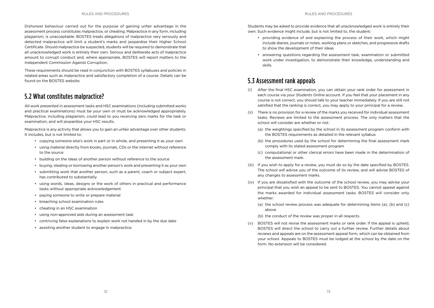Dishonest behaviour carried out for the purpose of gaining unfair advantage in the assessment process constitutes malpractice, or cheating. Malpractice in any form, including plagiarism, is unacceptable. BOSTES treats allegations of malpractice very seriously and detected malpractice will limit a student's marks and jeopardise their Higher School Certificate. Should malpractice be suspected, students will be required to demonstrate that all unacknowledged work is entirely their own. Serious and deliberate acts of malpractice amount to corrupt conduct and, where appropriate, BOSTES will report matters to the Independent Commission Against Corruption.

These requirements should be read in conjunction with BOSTES syllabuses and policies in related areas such as malpractice and satisfactory completion of a course. Details can be found on the BOSTES website.

#### 5.2 What constitutes malpractice?

All work presented in assessment tasks and HSC examinations (including submitted works and practical examinations) must be your own or must be acknowledged appropriately. Malpractice, including plagiarism, could lead to you receiving zero marks for the task or examination, and will jeopardise your HSC results.

Malpractice is any activity that allows you to gain an unfair advantage over other students. It includes, but is not limited to:

- copying someone else's work in part or in whole, and presenting it as your own
- using material directly from books, journals, CDs or the internet without reference to the source
- building on the ideas of another person without reference to the source
- buying, stealing or borrowing another person's work and presenting it as your own
- submitting work that another person, such as a parent, coach or subject expert, has contributed to substantially
- using words, ideas, designs or the work of others in practical and performance tasks without appropriate acknowledgement
- paying someone to write or prepare material
- breaching school examination rules
- cheating in an HSC examination
- using non-approved aids during an assessment task
- contriving false explanations to explain work not handed in by the due date
- assisting another student to engage in malpractice.

Students may be asked to provide evidence that all unacknowledged work is entirely their own. Such evidence might include, but is not limited to, the student:

- providing evidence of and explaining the process of their work, which might include diaries, journals or notes, working plans or sketches, and progressive drafts to show the development of their ideas
- answering questions regarding the assessment task, examination or submitted work under investigation, to demonstrate their knowledge, understanding and skills.

#### 5.3 Assessment rank appeals

- (i) After the final HSC examination, you can obtain your rank order for assessment in each course via your *Students Online* account. If you feel that your placement in any course is not correct, you should talk to your teacher immediately. If you are still not satisfied that the ranking is correct, you may apply to your principal for a review.
- (ii) There is no provision for a review of the marks you received for individual assessment tasks. Reviews are limited to the assessment process. The only matters that the school will consider are whether or not:
	- (a) the weightings specified by the school in its assessment program conform with the BOSTES requirements as detailed in the relevant syllabus
	- (b) the procedures used by the school for determining the final assessment mark comply with its stated assessment program
	- (c) computational or other clerical errors have been made in the determination of the assessment mark.
- (iii) If you wish to apply for a review, you must do so by the date specified by BOSTES. The school will advise you of the outcome of its review, and will advise BOSTES of any changes to assessment marks.
- (iv) If you are dissatisfied with the outcome of the school review, you may advise your principal that you wish an appeal to be sent to BOSTES. You cannot appeal against the marks awarded for individual assessment tasks. BOSTES will consider only whether:
	- (a) the school review process was adequate for determining items (a), (b) and (c) above
	- (b) the conduct of the review was proper in all respects.
- (v) BOSTES will not revise the assessment marks or rank order. If the appeal is upheld, BOSTES will direct the school to carry out a further review. Further details about reviews and appeals are on the assessment appeal form, which can be obtained from your school. Appeals to BOSTES must be lodged at the school by the date on the form. No extension will be considered.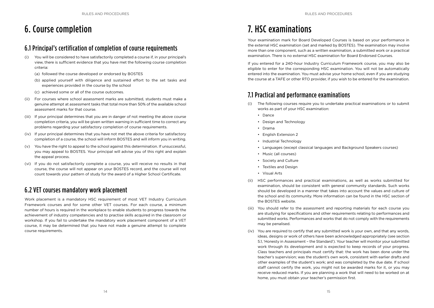## 6. Course completion

#### 6.1 Principal's certification of completion of course requirements

- (i) You will be considered to have satisfactorily completed a course if, in your principal's view, there is sufficient evidence that you have met the following course completion criteria:
	- (a) followed the course developed or endorsed by BOSTES
	- (b) applied yourself with diligence and sustained effort to the set tasks and experiences provided in the course by the school
	- (c) achieved some or all of the course outcomes.
- (ii) For courses where school assessment marks are submitted, students must make a genuine attempt at assessment tasks that total more than 50% of the available school assessment marks for that course.
- (iii) If your principal determines that you are in danger of not meeting the above course completion criteria, you will be given written warning in sufficient time to correct any problems regarding your satisfactory completion of course requirements.
- (iv) If your principal determines that you have not met the above criteria for satisfactory completion of a course, the school will inform BOSTES and will inform you in writing.
- (v) You have the right to appeal to the school against this determination. If unsuccessful, you may appeal to BOSTES. Your principal will advise you of this right and explain the appeal process.
- (vi) If you do not satisfactorily complete a course, you will receive no results in that course, the course will not appear on your BOSTES record, and the course will not count towards your pattern of study for the award of a Higher School Certificate.

## 6.2 VET courses mandatory work placement

Work placement is a mandatory HSC requirement of most VET Industry Curriculum Framework courses and for some other VET courses. For each course, a minimum number of hours is required in the workplace to enable students to progress towards the achievement of industry competencies and to practise skills acquired in the classroom or workshop. If you fail to undertake the mandatory work placement component of a VET course, it may be determined that you have not made a genuine attempt to complete course requirements.

## 7. HSC examinations

Your examination mark for Board Developed Courses is based on your performance in the external HSC examination (set and marked by BOSTES). The examination may involve more than one component, such as a written examination, a submitted work or a practical examination. There is no external HSC examination for Board Endorsed Courses.

If you entered for a 240-hour Industry Curriculum Framework course, you may also be eligible to enter for the corresponding HSC examination. You will not be automatically entered into the examination. You must advise your home school, even if you are studying the course at a TAFE or other RTO provider, if you wish to be entered for the examination.

### 7.1 Practical and performance examinations

- (i) The following courses require you to undertake practical examinations or to submit works as part of your HSC examination:
	- Dance
	- Design and Technology
	- Drama
	- English Extension 2
	- Industrial Technology
	- Languages (except classical languages and Background Speakers courses)
	- Music (all courses)
	- Society and Culture
	- Textiles and Design
	- Visual Arts
- (ii) HSC performances and practical examinations, as well as works submitted for examination, should be consistent with general community standards. Such works should be developed in a manner that takes into account the values and culture of the school and its community. More information can be found in the HSC section of the BOSTES website.
- (iii) You should refer to the assessment and reporting materials for each course you are studying for specifications and other requirements relating to performances and submitted works. Performances and works that do not comply with the requirements may be penalised.
- (iv) You are required to certify that any submitted work is your own, and that any words, ideas, designs or work of others have been acknowledged appropriately (see section 5.1, 'Honesty in Assessment – the Standard'). Your teacher will monitor your submitted work through its development and is expected to keep records of your progress. Class teachers and principals must certify that: the work has been done under the teacher's supervision; was the student's own work, consistent with earlier drafts and other examples of the student's work; and was completed by the due date. If school staff cannot certify the work, you might not be awarded marks for it, or you may receive reduced marks. If you are planning a work that will need to be worked on at home, you must obtain your teacher's permission first.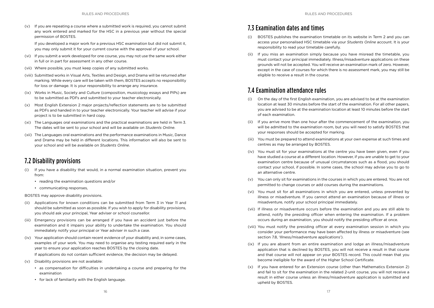(v) If you are repeating a course where a submitted work is required, you cannot submit any work entered and marked for the HSC in a previous year without the special permission of BOSTES.

If you developed a major work for a previous HSC examination but did not submit it, you may only submit it for your current course with the approval of your school.

- (vi) If you submit a work developed for one course, you may not use the same work either in full or in part for assessment in any other course.
- (vii) Where possible, you must keep copies of any submitted works.
- (viii) Submitted works in Visual Arts, Textiles and Design, and Drama will be returned after marking. While every care will be taken with them, BOSTES accepts no responsibility for loss or damage. It is your responsibility to arrange any insurance.
- (ix) Works in Music, Society and Culture (composition, musicology essays and PIPs) are to be submitted as PDFs and submitted to your teacher electronically.
- (x) Most English Extension 2 major projects/reflection statements are to be submitted as PDFs and handed in to your teacher electronically. Your teacher will advise if your project is to be submitted in hard copy.
- (xi) The Languages oral examinations and the practical examinations are held in Term 3. The dates will be sent to your school and will be available on *Students Online*.
- (xii) The Languages oral examinations and the performance examinations in Music, Dance and Drama may be held in different locations. This information will also be sent to your school and will be available on *Students Online*.

### 7.2 Disability provisions

- (i) If you have a disability that would, in a normal examination situation, prevent you from:
	- reading the examination questions and/or
	- communicating responses,

BOSTES may approve disability provisions.

- (ii) Applications for known conditions can be submitted from Term 3 in Year 11 and should be submitted as soon as possible. If you wish to apply for disability provisions, you should ask your principal, Year adviser or school counsellor.
- (iii) Emergency provisions can be arranged if you have an accident just before the examination and it impairs your ability to undertake the examination. You should immediately notify your principal or Year adviser in such a case.
- (iv) Your application should contain recent evidence of your disability and, in some cases, examples of your work. You may need to organise any testing required early in the year to ensure your application reaches BOSTES by the closing date.

If applications do not contain sufficient evidence, the decision may be delayed.

- (v) Disability provisions are not available:
	- as compensation for difficulties in undertaking a course and preparing for the examination
	- for lack of familiarity with the English language.

#### 7.3 Examination dates and times

- (i) BOSTES publishes the examination timetable on its website in Term 2 and you can access your personalised HSC timetable via your *Students Online* account. It is your responsibility to read your timetable carefully.
- (ii) If you miss an examination simply because you have misread the timetable, you must contact your principal immediately. Illness/misadventure applications on these grounds will not be accepted. You will receive an examination mark of zero. However, except in the case of courses for which there is no assessment mark, you may still be eligible to receive a result in the course.

#### 7.4 Examination attendance rules

- (i) On the day of the first English examination, you are advised to be at the examination location at least 30 minutes before the start of the examination. For all other papers, you are advised to be at the examination location at least 10 minutes before the start of each examination.
- (ii) If you arrive more than one hour after the commencement of the examination, you will be admitted to the examination room, but you will need to satisfy BOSTES that your responses should be accepted for marking.
- (iii) You must be prepared to attend examinations at your own expense at such times and centres as may be arranged by BOSTES.
- (iv) You must sit for your examinations at the centre you have been given, even if you have studied a course at a different location. However, if you are unable to get to your examination centre because of unusual circumstances such as a flood, you should contact your school, if possible. In some cases, the school may advise you to go to an alternative centre.
- (v) You can only sit for examinations in the courses in which you are entered. You are not permitted to change courses or add courses during the examinations.
- (vi) You must sit for all examinations in which you are entered, unless prevented by illness or misadventure. If you cannot attend an examination because of illness or misadventure, notify your school principal immediately.
- (vii) If illness or misadventure occurs before the examination and you are still able to attend, notify the presiding officer when entering the examination. If a problem occurs during an examination, you should notify the presiding officer at once.
- (viii) You must notify the presiding officer at every examination session in which you consider your performance may have been affected by illness or misadventure (see section 7.8, 'Illness/misadventure applications').
- (ix) If you are absent from an entire examination and lodge an illness/misadventure application that is declined by BOSTES, you will not receive a result in that course and that course will not appear on your BOSTES record. This could mean that you become ineligible for the award of the Higher School Certificate.
- (x) If you have entered for an Extension course (other than Mathematics Extension 2) and fail to sit for the examination in the related 2-unit course, you will not receive a result in either course unless an illness/misadventure application is submitted and upheld by BOSTES.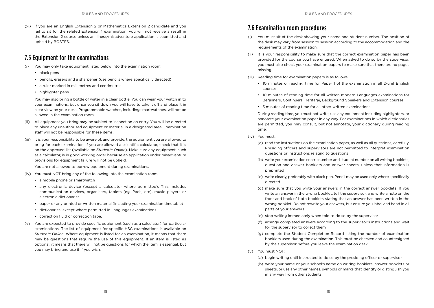(xi) If you are an English Extension 2 or Mathematics Extension 2 candidate and you fail to sit for the related Extension 1 examination, you will not receive a result in the Extension 2 course unless an illness/misadventure application is submitted and upheld by BOSTES.

#### 7.5 Equipment for the examinations

- (i) You may only take equipment listed below into the examination room:
	- black pens
	- pencils, erasers and a sharpener (use pencils where specifically directed)
	- a ruler marked in millimetres and centimetres
	- highlighter pens.

You may also bring a bottle of water in a clear bottle. You can wear your watch in to your examinations, but once you sit down you will have to take it off and place it in clear view on your desk. Programmable watches, including smartwatches, will not be allowed in the examination room.

- (ii) All equipment you bring may be subject to inspection on entry. You will be directed to place any unauthorised equipment or material in a designated area. Examination staff will not be responsible for these items.
- (iii) It is your responsibility to be aware of, and provide, the equipment you are allowed to bring for each examination. If you are allowed a scientific calculator, check that it is on the approved list (available on *Students Online*). Make sure any equipment, such as a calculator, is in good working order because an application under misadventure provisions for equipment failure will not be upheld.

You are not allowed to borrow equipment during examinations.

- (iv) You must NOT bring any of the following into the examination room:
	- a mobile phone or smartwatch
	- any electronic device (except a calculator where permitted). This includes communication devices, organisers, tablets (eg iPads, etc), music players or electronic dictionaries
	- paper or any printed or written material (including your examination timetable)
	- dictionaries, except where permitted in Languages examinations
	- correction fluid or correction tape.
- (v) You are expected to provide specific equipment (such as a calculator) for particular examinations. The list of equipment for specific HSC examinations is available on *Students Online*. Where equipment is listed for an examination, it means that there may be questions that require the use of this equipment. If an item is listed as optional, it means that there will not be questions for which the item is essential, but you may bring and use it if you wish.

### 7.6 Examination room procedures

- (i) You must sit at the desk showing your name and student number. The position of the desk may vary from session to session according to the accommodation and the requirements of the examination.
- (ii) It is your responsibility to make sure that the correct examination paper has been provided for the course you have entered. When asked to do so by the supervisor, you must also check your examination papers to make sure that there are no pages missing.
- (iii) Reading time for examination papers is as follows:
	- 10 minutes of reading time for Paper 1 of the examination in all 2-unit English courses
	- 10 minutes of reading time for all written modern Languages examinations for Beginners, Continuers, Heritage, Background Speakers and Extension courses
	- 5 minutes of reading time for all other written examinations.

During reading time, you must not write, use any equipment including highlighters, or annotate your examination paper in any way. For examinations in which dictionaries are permitted, you may consult, but not annotate, your dictionary during reading time.

- (iv) You must:
	- (a) read the instructions on the examination paper, as well as all questions, carefully. Presiding officers and supervisors are not permitted to interpret examination questions or instructions relating to questions
	- (b) write your examination centre number and student number on all writing booklets, question and answer booklets and answer sheets, unless that information is preprinted
	- (c) write clearly, preferably with black pen. Pencil may be used only where specifically directed
	- (d) make sure that you write your answers in the correct answer booklets. If you write an answer in the wrong booklet, tell the supervisor, and write a note on the front and back of both booklets stating that an answer has been written in the wrong booklet. Do not rewrite your answers, but ensure you label and hand in all parts of your answers
	- (e) stop writing immediately when told to do so by the supervisor
	- (f) arrange completed answers according to the supervisor's instructions and wait for the supervisor to collect them
	- (g) complete the Student Completion Record listing the number of examination booklets used during the examination. This must be checked and countersigned by the supervisor before you leave the examination desk.
- (v) You must NOT:
	- (a) begin writing until instructed to do so by the presiding officer or supervisor
	- (b) write your name or your school's name on writing booklets, answer booklets or sheets, or use any other names, symbols or marks that identify or distinguish you in any way from other students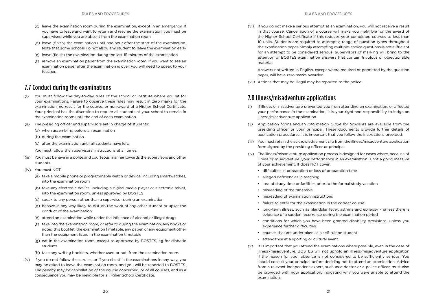- (c) leave the examination room during the examination, except in an emergency. If you have to leave and want to return and resume the examination, you must be supervised while you are absent from the examination room
- (d) leave (finish) the examination until one hour after the start of the examination. Note that some schools do not allow any student to leave the examination early
- (e) leave (finish) the examination during the last 15 minutes of the examination
- (f) remove an examination paper from the examination room. If you want to see an examination paper after the examination is over, you will need to speak to your teacher.

#### 7.7 Conduct during the examinations

- (i) You must follow the day-to-day rules of the school or institute where you sit for your examinations. Failure to observe these rules may result in zero marks for the examination, no result for the course, or non-award of a Higher School Certificate. Your principal has the discretion to require all students at your school to remain in the examination room until the end of each examination.
- The presiding officer and supervisors are in charge of students:
	- (a) when assembling before an examination
	- (b) during the examination
	- (c) after the examination until all students have left.
	- You must follow the supervisors' instructions at all times.
- (iii) You must behave in a polite and courteous manner towards the supervisors and other students.
- (iv) You must NOT:
	- (a) take a mobile phone or programmable watch or device, including smartwatches, into the examination room
	- (b) take any electronic device, including a digital media player or electronic tablet, into the examination room, unless approved by BOSTES
	- (c) speak to any person other than a supervisor during an examination
	- (d) behave in any way likely to disturb the work of any other student or upset the conduct of the examination
	- (e) attend an examination while under the influence of alcohol or illegal drugs
	- (f) take into the examination room, or refer to during the examination, any books or notes, this booklet, the examination timetable, any paper, or any equipment other than the equipment listed in the examination timetable
	- (g) eat in the examination room, except as approved by BOSTES, eg for diabetic students
	- (h) take any writing booklets, whether used or not, from the examination room.
- (v) If you do not follow these rules, or if you cheat in the examinations in any way, you may be asked to leave the examination room, and you will be reported to BOSTES. The penalty may be cancellation of the course concerned, or of all courses, and as a consequence you may be ineligible for a Higher School Certificate.

(vi) If you do not make a serious attempt at an examination, you will not receive a result in that course. Cancellation of a course will make you ineligible for the award of the Higher School Certificate if this reduces your completed courses to less than 10 units. Students are required to attempt a range of question types throughout the examination paper. Simply attempting multiple-choice questions is not sufficient for an attempt to be considered serious. Supervisors of marking will bring to the attention of BOSTES examination answers that contain frivolous or objectionable material.

Answers not written in English, except where required or permitted by the question paper, will have zero marks awarded.

(vii) Actions that may be illegal may be reported to the police.

### 7.8 Illness/misadventure applications

- (i) If illness or misadventure prevented you from attending an examination, or affected your performance in the examination, it is your right and responsibility to lodge an illness/misadventure application.
- (ii) Application forms and an *Information Guide for Students* are available from the presiding officer or your principal. These documents provide further details of application procedures. It is important that you follow the instructions provided.
- (iii) You must retain the acknowledgement slip from the illness/misadventure application form signed by the presiding officer or principal.
- (iv) The illness/misadventure application process is designed for cases where, because of illness or misadventure, your performance in an examination is not a good measure of your achievement. It does NOT cover:
	- difficulties in preparation or loss of preparation time
	- alleged deficiencies in teaching
	- loss of study time or facilities prior to the formal study vacation
	- misreading of the timetable
	- misreading of examination instructions
	- failure to enter for the examination in the correct course
	- long-term illness, such as glandular fever, asthma and epilepsy unless there is evidence of a sudden recurrence during the examination period
	- conditions for which you have been granted disability provisions, unless you experience further difficulties
	- courses that are undertaken as a self-tuition student
	- attendance at a sporting or cultural event.
- (v) It is important that you attend the examinations where possible, even in the case of illness/misadventure. BOSTES will not uphold an illness/misadventure application if the reason for your absence is not considered to be sufficiently serious. You should consult your principal before deciding not to attend an examination. Advice from a relevant independent expert, such as a doctor or a police officer, must also be provided with your application, indicating why you were unable to attend the examination.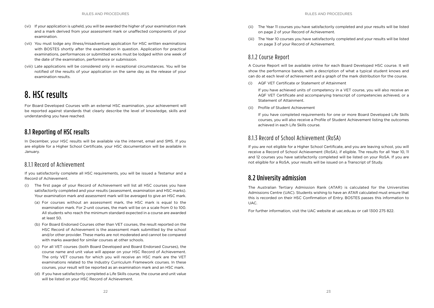- (vi) If your application is upheld, you will be awarded the higher of your examination mark and a mark derived from your assessment mark or unaffected components of your examination.
- (vii) You must lodge any illness/misadventure application for HSC written examinations with BOSTES shortly after the examination in question. Application for practical examinations, performances or submitted works must be lodged within one week of the date of the examination, performance or submission.
- (viii) Late applications will be considered only in exceptional circumstances. You will be notified of the results of your application on the same day as the release of your examination results.

## 8. HSC results

For Board Developed Courses with an external HSC examination, your achievement will be reported against standards that clearly describe the level of knowledge, skills and understanding you have reached.

### 8.1 Reporting of HSC results

In December, your HSC results will be available via the internet, email and SMS. If you are eligible for a Higher School Certificate, your HSC documentation will be available in January.

#### 8.1.1 Record of Achievement

If you satisfactorily complete all HSC requirements, you will be issued a Testamur and a Record of Achievement.

- (i) The first page of your Record of Achievement will list all HSC courses you have satisfactorily completed and your results (assessment, examination and HSC marks). Your examination mark and assessment mark will be averaged to give an HSC mark.
	- (a) For courses without an assessment mark, the HSC mark is equal to the examination mark. For 2-unit courses, the mark will be on a scale from 0 to 100. All students who reach the minimum standard expected in a course are awarded at least 50.
	- (b) For Board Endorsed Courses other than VET courses, the result reported on the HSC Record of Achievement is the assessment mark submitted by the school and/or other provider. These marks are not moderated and cannot be compared with marks awarded for similar courses at other schools.
	- (c) For all VET courses (both Board Developed and Board Endorsed Courses), the course name and unit value will appear on your HSC Record of Achievement. The only VET courses for which you will receive an HSC mark are the VET examinations related to the Industry Curriculum Framework courses. In these courses, your result will be reported as an examination mark and an HSC mark.
	- (d) If you have satisfactorily completed a Life Skills course, the course and unit value will be listed on your HSC Record of Achievement.
- (ii) The Year 11 courses you have satisfactorily completed and your results will be listed on page 2 of your Record of Achievement.
- (iii) The Year 10 courses you have satisfactorily completed and your results will be listed on page 3 of your Record of Achievement.

#### 8.1.2 Course Report

A Course Report will be available online for each Board Developed HSC course. It will show the performance bands, with a description of what a typical student knows and can do at each level of achievement and a graph of the mark distribution for the course.

(i) AQF VET Certificate or Statement of Attainment

If you have achieved units of competency in a VET course, you will also receive an AQF VET Certificate and accompanying transcript of competencies achieved, or a Statement of Attainment.

(ii) Profile of Student Achievement

If you have completed requirements for one or more Board Developed Life Skills courses, you will also receive a Profile of Student Achievement listing the outcomes achieved in each Life Skills course.

#### 8.1.3 Record of School Achievement (RoSA)

If you are not eligible for a Higher School Certificate, and you are leaving school, you will receive a Record of School Achievement (RoSA), if eligible. The results for all Year 10, 11 and 12 courses you have satisfactorily completed will be listed on your RoSA. If you are not eligible for a RoSA, your results will be issued on a Transcript of Study.

#### 8.2 University admission

The Australian Tertiary Admission Rank (ATAR) is calculated for the Universities Admissions Centre (UAC). Students wishing to have an ATAR calculated must ensure that this is recorded on their HSC Confirmation of Entry. BOSTES passes this information to UAC.

For further information, visit the UAC website at uac.edu.au or call 1300 275 822.